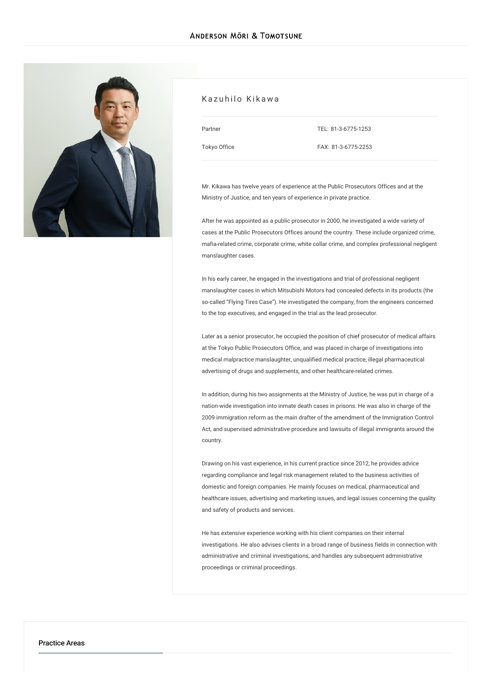

#### Kazuhilo Kikawa

Partner [Tokyo](/en/locations/tokyo) Office TEL: [81-3-6775-1253](tel:81-3-6775-1253)

FAX: 81-3-6775-2253

Mr. Kikawa has twelve years of experience at the Public Prosecutors Offices and at the Ministry of Justice, and ten years of experience in private practice.

After he was appointed as a public prosecutor in 2000, he investigated a wide variety of cases at the Public Prosecutors Offices around the country. These include organized crime, mafia-related crime, corporate crime, white collar crime, and complex professional negligent manslaughter cases.

In his early career, he engaged in the investigations and trial of professional negligent manslaughter cases in which Mitsubishi Motors had concealed defects in its products (the so-called "Flying Tires Case"). He investigated the company, from the engineers concerned to the top executives, and engaged in the trial as the lead prosecutor.

Later as a senior prosecutor, he occupied the position of chief prosecutor of medical affairs at the Tokyo Public Prosecutors Office, and was placed in charge of investigations into medical malpractice manslaughter, unqualified medical practice, illegal pharmaceutical advertising of drugs and supplements, and other healthcare-related crimes.

In addition, during his two assignments at the Ministry of Justice, he was put in charge of a nation-wide investigation into inmate death cases in prisons. He was also in charge of the 2009 immigration reform as the main drafter of the amendment of the Immigration Control Act, and supervised administrative procedure and lawsuits of illegal immigrants around the country.

Drawing on his vast experience, in his current practice since 2012, he provides advice regarding compliance and legal risk management related to the business activities of domestic and foreign companies. He mainly focuses on medical, pharmaceutical and healthcare issues, advertising and marketing issues, and legal issues concerning the quality and safety of products and services.

He has extensive experience working with his client companies on their internal investigations. He also advises clients in a broad range of business fields in connection with administrative and criminal investigations, and handles any subsequent administrative proceedings or criminal proceedings.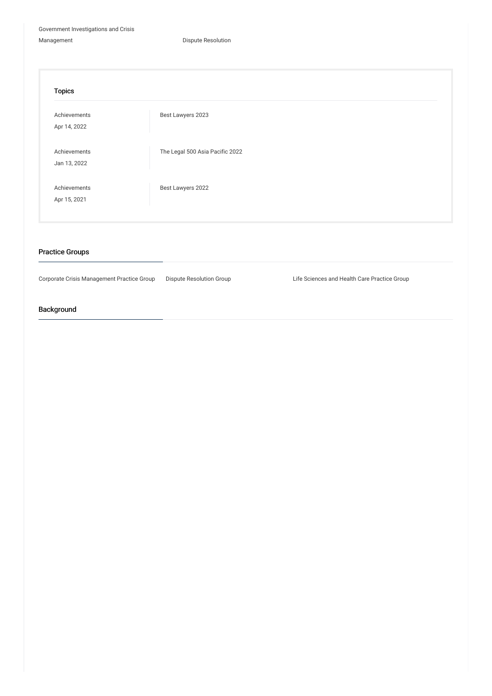Government [Investigations](/en/services/practices/government-investigation-crisis-management) and Crisis

Management **Dispute [Resolution](/en/services/practices/dispute-resolution)** 

| <b>Topics</b>                |                                 |
|------------------------------|---------------------------------|
| Achievements<br>Apr 14, 2022 | Best Lawyers 2023               |
| Achievements<br>Jan 13, 2022 | The Legal 500 Asia Pacific 2022 |
| Achievements<br>Apr 15, 2021 | Best Lawyers 2022               |

## Practice Groups

Corporate Crisis Management Practice Group Dispute Resolution Group Life Sciences and Health Care Practice Group

# Background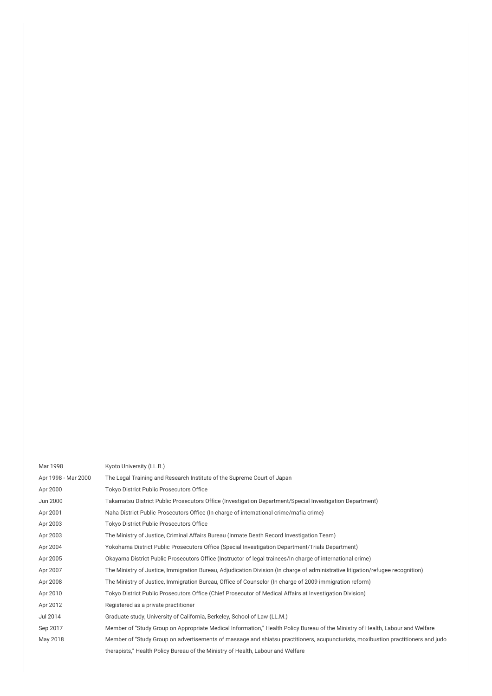| Mar 1998            | Kyoto University (LL.B.)                                                                                                          |
|---------------------|-----------------------------------------------------------------------------------------------------------------------------------|
| Apr 1998 - Mar 2000 | The Legal Training and Research Institute of the Supreme Court of Japan                                                           |
| Apr 2000            | <b>Tokyo District Public Prosecutors Office</b>                                                                                   |
| Jun 2000            | Takamatsu District Public Prosecutors Office (Investigation Department/Special Investigation Department)                          |
| Apr 2001            | Naha District Public Prosecutors Office (In charge of international crime/mafia crime)                                            |
| Apr 2003            | Tokyo District Public Prosecutors Office                                                                                          |
| Apr 2003            | The Ministry of Justice, Criminal Affairs Bureau (Inmate Death Record Investigation Team)                                         |
| Apr 2004            | Yokohama District Public Prosecutors Office (Special Investigation Department/Trials Department)                                  |
| Apr 2005            | Okayama District Public Prosecutors Office (Instructor of legal trainees/In charge of international crime)                        |
| Apr 2007            | The Ministry of Justice, Immigration Bureau, Adjudication Division (In charge of administrative litigation/refugee recognition)   |
| Apr 2008            | The Ministry of Justice, Immigration Bureau, Office of Counselor (In charge of 2009 immigration reform)                           |
| Apr 2010            | Tokyo District Public Prosecutors Office (Chief Prosecutor of Medical Affairs at Investigation Division)                          |
| Apr 2012            | Registered as a private practitioner                                                                                              |
| Jul 2014            | Graduate study, University of California, Berkeley, School of Law (LL.M.)                                                         |
| Sep 2017            | Member of "Study Group on Appropriate Medical Information," Health Policy Bureau of the Ministry of Health, Labour and Welfare    |
| May 2018            | Member of "Study Group on advertisements of massage and shiatsu practitioners, acupuncturists, moxibustion practitioners and judo |
|                     | therapists," Health Policy Bureau of the Ministry of Health, Labour and Welfare                                                   |
|                     |                                                                                                                                   |